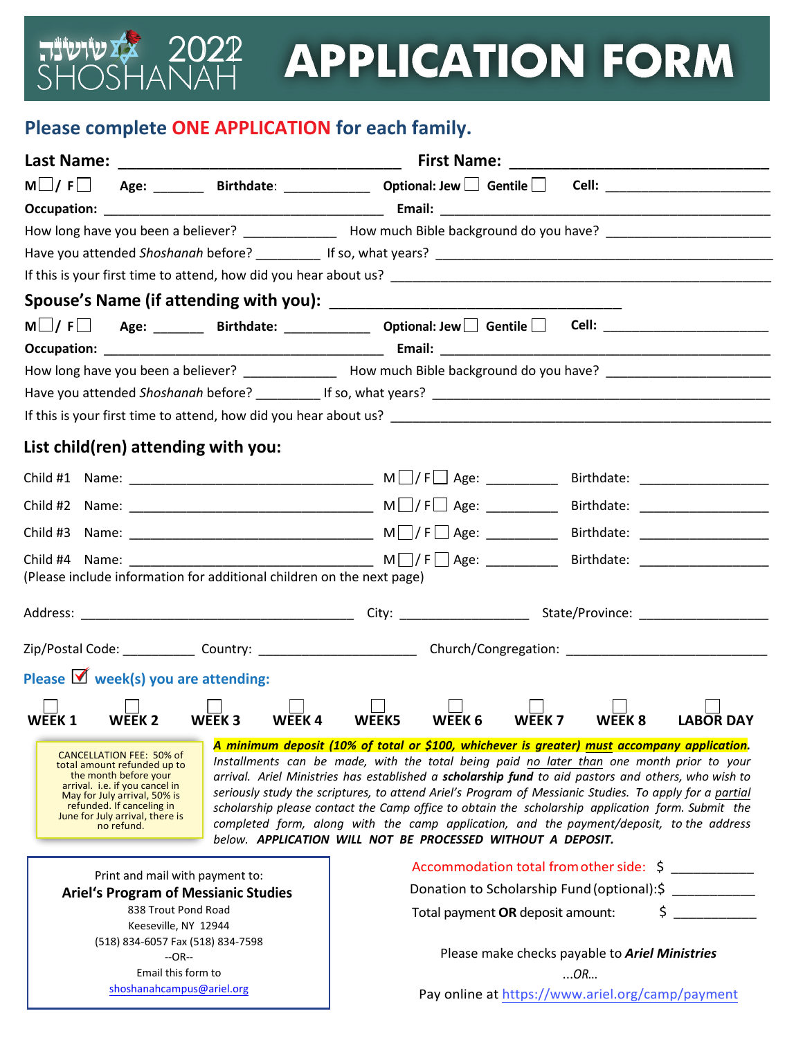## **TIVIVIA** 2022<br>ANAH **APPLICATION FORM**

## **Please complete ONE APPLICATION for each family.**

 $\zeta$ 

| Last Name:                                                                                                           |                                                                                                                                                                                                                                                                                                                                                                                                                                                                                                                                                                                                                                                                                                                                                                                                                                                                                                                      |                                                                       |                                                                                                                |                   |        |                                   |  |  |
|----------------------------------------------------------------------------------------------------------------------|----------------------------------------------------------------------------------------------------------------------------------------------------------------------------------------------------------------------------------------------------------------------------------------------------------------------------------------------------------------------------------------------------------------------------------------------------------------------------------------------------------------------------------------------------------------------------------------------------------------------------------------------------------------------------------------------------------------------------------------------------------------------------------------------------------------------------------------------------------------------------------------------------------------------|-----------------------------------------------------------------------|----------------------------------------------------------------------------------------------------------------|-------------------|--------|-----------------------------------|--|--|
| $M \cup I$ $F \cup$                                                                                                  |                                                                                                                                                                                                                                                                                                                                                                                                                                                                                                                                                                                                                                                                                                                                                                                                                                                                                                                      |                                                                       | Age: ________ Birthdate: _____________ Optional: Jew $\Box$ Gentile $\Box$ Cell: _______________________       |                   |        |                                   |  |  |
|                                                                                                                      |                                                                                                                                                                                                                                                                                                                                                                                                                                                                                                                                                                                                                                                                                                                                                                                                                                                                                                                      |                                                                       |                                                                                                                |                   |        |                                   |  |  |
|                                                                                                                      |                                                                                                                                                                                                                                                                                                                                                                                                                                                                                                                                                                                                                                                                                                                                                                                                                                                                                                                      |                                                                       | How long have you been a believer? ________________ How much Bible background do you have? ___________________ |                   |        |                                   |  |  |
|                                                                                                                      |                                                                                                                                                                                                                                                                                                                                                                                                                                                                                                                                                                                                                                                                                                                                                                                                                                                                                                                      |                                                                       |                                                                                                                |                   |        |                                   |  |  |
|                                                                                                                      |                                                                                                                                                                                                                                                                                                                                                                                                                                                                                                                                                                                                                                                                                                                                                                                                                                                                                                                      |                                                                       |                                                                                                                |                   |        |                                   |  |  |
|                                                                                                                      |                                                                                                                                                                                                                                                                                                                                                                                                                                                                                                                                                                                                                                                                                                                                                                                                                                                                                                                      |                                                                       |                                                                                                                |                   |        |                                   |  |  |
|                                                                                                                      |                                                                                                                                                                                                                                                                                                                                                                                                                                                                                                                                                                                                                                                                                                                                                                                                                                                                                                                      |                                                                       | $M \Box / F \Box$ Age: _______ Birthdate: ____________ Optional: Jew Gentile Cell: _________________________   |                   |        |                                   |  |  |
|                                                                                                                      |                                                                                                                                                                                                                                                                                                                                                                                                                                                                                                                                                                                                                                                                                                                                                                                                                                                                                                                      |                                                                       |                                                                                                                |                   |        |                                   |  |  |
| How long have you been a believer? _________________ How much Bible background do you have? ________________________ |                                                                                                                                                                                                                                                                                                                                                                                                                                                                                                                                                                                                                                                                                                                                                                                                                                                                                                                      |                                                                       |                                                                                                                |                   |        |                                   |  |  |
|                                                                                                                      |                                                                                                                                                                                                                                                                                                                                                                                                                                                                                                                                                                                                                                                                                                                                                                                                                                                                                                                      |                                                                       |                                                                                                                |                   |        |                                   |  |  |
|                                                                                                                      |                                                                                                                                                                                                                                                                                                                                                                                                                                                                                                                                                                                                                                                                                                                                                                                                                                                                                                                      |                                                                       |                                                                                                                |                   |        |                                   |  |  |
|                                                                                                                      | List child(ren) attending with you:                                                                                                                                                                                                                                                                                                                                                                                                                                                                                                                                                                                                                                                                                                                                                                                                                                                                                  |                                                                       |                                                                                                                |                   |        |                                   |  |  |
|                                                                                                                      |                                                                                                                                                                                                                                                                                                                                                                                                                                                                                                                                                                                                                                                                                                                                                                                                                                                                                                                      |                                                                       |                                                                                                                |                   |        |                                   |  |  |
|                                                                                                                      |                                                                                                                                                                                                                                                                                                                                                                                                                                                                                                                                                                                                                                                                                                                                                                                                                                                                                                                      |                                                                       |                                                                                                                |                   |        | Birthdate: _____________________  |  |  |
|                                                                                                                      |                                                                                                                                                                                                                                                                                                                                                                                                                                                                                                                                                                                                                                                                                                                                                                                                                                                                                                                      |                                                                       |                                                                                                                |                   |        | Birthdate: ______________________ |  |  |
|                                                                                                                      |                                                                                                                                                                                                                                                                                                                                                                                                                                                                                                                                                                                                                                                                                                                                                                                                                                                                                                                      |                                                                       |                                                                                                                |                   |        |                                   |  |  |
|                                                                                                                      |                                                                                                                                                                                                                                                                                                                                                                                                                                                                                                                                                                                                                                                                                                                                                                                                                                                                                                                      | (Please include information for additional children on the next page) |                                                                                                                |                   |        |                                   |  |  |
|                                                                                                                      |                                                                                                                                                                                                                                                                                                                                                                                                                                                                                                                                                                                                                                                                                                                                                                                                                                                                                                                      |                                                                       |                                                                                                                |                   |        |                                   |  |  |
|                                                                                                                      |                                                                                                                                                                                                                                                                                                                                                                                                                                                                                                                                                                                                                                                                                                                                                                                                                                                                                                                      |                                                                       |                                                                                                                |                   |        |                                   |  |  |
|                                                                                                                      | Please $\blacksquare$ week(s) you are attending:                                                                                                                                                                                                                                                                                                                                                                                                                                                                                                                                                                                                                                                                                                                                                                                                                                                                     |                                                                       |                                                                                                                |                   |        |                                   |  |  |
|                                                                                                                      |                                                                                                                                                                                                                                                                                                                                                                                                                                                                                                                                                                                                                                                                                                                                                                                                                                                                                                                      |                                                                       |                                                                                                                |                   |        |                                   |  |  |
| WEEK <sub>1</sub>                                                                                                    | WEEK <sub>2</sub>                                                                                                                                                                                                                                                                                                                                                                                                                                                                                                                                                                                                                                                                                                                                                                                                                                                                                                    | WEEK <sub>3</sub><br>WEEK4                                            | WEEK 6<br>WEEK5                                                                                                | WEEK <sub>7</sub> | WEEK 8 | <b>LABOR DAY</b>                  |  |  |
|                                                                                                                      | A minimum deposit (10% of total or \$100, whichever is greater) must accompany application.<br><b>CANCELLATION FEE: 50% of</b><br>Installments can be made, with the total being paid no later than one month prior to your<br>total amount refunded up to<br>the month before your<br>arrival. Ariel Ministries has established a scholarship fund to aid pastors and others, who wish to<br>arrival. i.e. if you cancel in<br>seriously study the scriptures, to attend Ariel's Program of Messianic Studies. To apply for a partial<br>May for July arrival, 50% is<br>refunded. If canceling in<br>scholarship please contact the Camp office to obtain the scholarship application form. Submit the<br>June for July arrival, there is<br>completed form, along with the camp application, and the payment/deposit, to the address<br>no refund.<br>below. APPLICATION WILL NOT BE PROCESSED WITHOUT A DEPOSIT. |                                                                       |                                                                                                                |                   |        |                                   |  |  |
|                                                                                                                      | Print and mail with payment to:                                                                                                                                                                                                                                                                                                                                                                                                                                                                                                                                                                                                                                                                                                                                                                                                                                                                                      |                                                                       | Accommodation total from other side: \$                                                                        |                   |        |                                   |  |  |
| <b>Ariel's Program of Messianic Studies</b>                                                                          |                                                                                                                                                                                                                                                                                                                                                                                                                                                                                                                                                                                                                                                                                                                                                                                                                                                                                                                      |                                                                       | Donation to Scholarship Fund (optional): \$                                                                    |                   |        |                                   |  |  |
| 838 Trout Pond Road                                                                                                  |                                                                                                                                                                                                                                                                                                                                                                                                                                                                                                                                                                                                                                                                                                                                                                                                                                                                                                                      |                                                                       | $\sim$<br>Total payment OR deposit amount:                                                                     |                   |        |                                   |  |  |
| Keeseville, NY 12944<br>(518) 834-6057 Fax (518) 834-7598                                                            |                                                                                                                                                                                                                                                                                                                                                                                                                                                                                                                                                                                                                                                                                                                                                                                                                                                                                                                      |                                                                       |                                                                                                                |                   |        |                                   |  |  |
|                                                                                                                      | $-OR-$                                                                                                                                                                                                                                                                                                                                                                                                                                                                                                                                                                                                                                                                                                                                                                                                                                                                                                               |                                                                       | Please make checks payable to Ariel Ministries                                                                 |                   |        |                                   |  |  |
|                                                                                                                      | Email this form to                                                                                                                                                                                                                                                                                                                                                                                                                                                                                                                                                                                                                                                                                                                                                                                                                                                                                                   |                                                                       | OR                                                                                                             |                   |        |                                   |  |  |
| shoshanahcampus@ariel.org                                                                                            |                                                                                                                                                                                                                                                                                                                                                                                                                                                                                                                                                                                                                                                                                                                                                                                                                                                                                                                      |                                                                       | Pay online at https://www.ariel.org/camp/payment                                                               |                   |        |                                   |  |  |